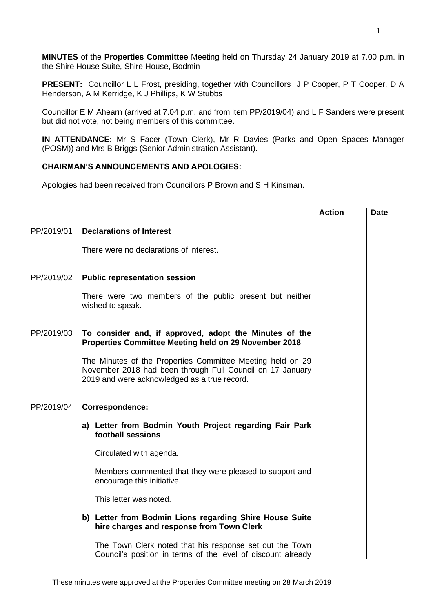**MINUTES** of the **Properties Committee** Meeting held on Thursday 24 January 2019 at 7.00 p.m. in the Shire House Suite, Shire House, Bodmin

**PRESENT:** Councillor L L Frost, presiding, together with Councillors J P Cooper, P T Cooper, D A Henderson, A M Kerridge, K J Phillips, K W Stubbs

Councillor E M Ahearn (arrived at 7.04 p.m. and from item PP/2019/04) and L F Sanders were present but did not vote, not being members of this committee.

**IN ATTENDANCE:** Mr S Facer (Town Clerk), Mr R Davies (Parks and Open Spaces Manager (POSM)) and Mrs B Briggs (Senior Administration Assistant).

## **CHAIRMAN'S ANNOUNCEMENTS AND APOLOGIES:**

Apologies had been received from Councillors P Brown and S H Kinsman.

|            |                                                                                                                                                                                                                                                                                                                                                                                                                  | <b>Action</b> | <b>Date</b> |
|------------|------------------------------------------------------------------------------------------------------------------------------------------------------------------------------------------------------------------------------------------------------------------------------------------------------------------------------------------------------------------------------------------------------------------|---------------|-------------|
| PP/2019/01 | <b>Declarations of Interest</b><br>There were no declarations of interest.                                                                                                                                                                                                                                                                                                                                       |               |             |
| PP/2019/02 | <b>Public representation session</b><br>There were two members of the public present but neither<br>wished to speak.                                                                                                                                                                                                                                                                                             |               |             |
| PP/2019/03 | To consider and, if approved, adopt the Minutes of the<br>Properties Committee Meeting held on 29 November 2018<br>The Minutes of the Properties Committee Meeting held on 29<br>November 2018 had been through Full Council on 17 January<br>2019 and were acknowledged as a true record.                                                                                                                       |               |             |
| PP/2019/04 | Correspondence:<br>a) Letter from Bodmin Youth Project regarding Fair Park<br>football sessions<br>Circulated with agenda.<br>Members commented that they were pleased to support and<br>encourage this initiative.<br>This letter was noted.<br>b) Letter from Bodmin Lions regarding Shire House Suite<br>hire charges and response from Town Clerk<br>The Town Clerk noted that his response set out the Town |               |             |
|            | Council's position in terms of the level of discount already                                                                                                                                                                                                                                                                                                                                                     |               |             |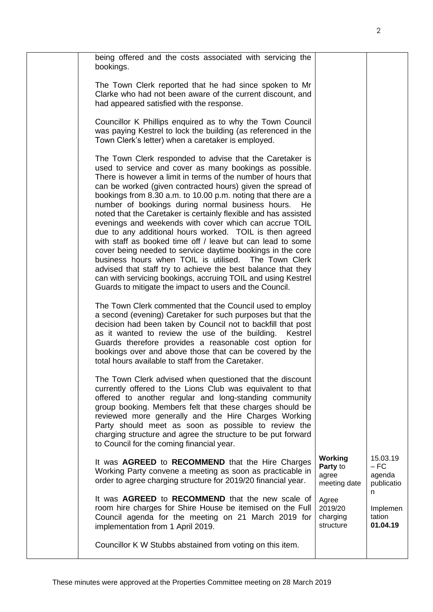|  | being offered and the costs associated with servicing the<br>bookings.                                                                                                                                                                                                                                                                                                                                                                                                                                                                                                                                                                                                                                                                                                                                                                                                                                                                                |                                              |                                                |
|--|-------------------------------------------------------------------------------------------------------------------------------------------------------------------------------------------------------------------------------------------------------------------------------------------------------------------------------------------------------------------------------------------------------------------------------------------------------------------------------------------------------------------------------------------------------------------------------------------------------------------------------------------------------------------------------------------------------------------------------------------------------------------------------------------------------------------------------------------------------------------------------------------------------------------------------------------------------|----------------------------------------------|------------------------------------------------|
|  | The Town Clerk reported that he had since spoken to Mr<br>Clarke who had not been aware of the current discount, and<br>had appeared satisfied with the response.                                                                                                                                                                                                                                                                                                                                                                                                                                                                                                                                                                                                                                                                                                                                                                                     |                                              |                                                |
|  | Councillor K Phillips enquired as to why the Town Council<br>was paying Kestrel to lock the building (as referenced in the<br>Town Clerk's letter) when a caretaker is employed.                                                                                                                                                                                                                                                                                                                                                                                                                                                                                                                                                                                                                                                                                                                                                                      |                                              |                                                |
|  | The Town Clerk responded to advise that the Caretaker is<br>used to service and cover as many bookings as possible.<br>There is however a limit in terms of the number of hours that<br>can be worked (given contracted hours) given the spread of<br>bookings from 8.30 a.m. to 10.00 p.m. noting that there are a<br>number of bookings during normal business hours.<br>He.<br>noted that the Caretaker is certainly flexible and has assisted<br>evenings and weekends with cover which can accrue TOIL<br>due to any additional hours worked. TOIL is then agreed<br>with staff as booked time off / leave but can lead to some<br>cover being needed to service daytime bookings in the core<br>business hours when TOIL is utilised. The Town Clerk<br>advised that staff try to achieve the best balance that they<br>can with servicing bookings, accruing TOIL and using Kestrel<br>Guards to mitigate the impact to users and the Council. |                                              |                                                |
|  | The Town Clerk commented that the Council used to employ<br>a second (evening) Caretaker for such purposes but that the<br>decision had been taken by Council not to backfill that post<br>as it wanted to review the use of the building.<br>Kestrel<br>Guards therefore provides a reasonable cost option for<br>bookings over and above those that can be covered by the<br>total hours available to staff from the Caretaker.                                                                                                                                                                                                                                                                                                                                                                                                                                                                                                                     |                                              |                                                |
|  | The Town Clerk advised when questioned that the discount<br>currently offered to the Lions Club was equivalent to that<br>offered to another regular and long-standing community<br>group booking. Members felt that these charges should be<br>reviewed more generally and the Hire Charges Working<br>Party should meet as soon as possible to review the<br>charging structure and agree the structure to be put forward<br>to Council for the coming financial year.                                                                                                                                                                                                                                                                                                                                                                                                                                                                              |                                              |                                                |
|  | It was AGREED to RECOMMEND that the Hire Charges<br>Working Party convene a meeting as soon as practicable in<br>order to agree charging structure for 2019/20 financial year.                                                                                                                                                                                                                                                                                                                                                                                                                                                                                                                                                                                                                                                                                                                                                                        | Working<br>Party to<br>agree<br>meeting date | 15.03.19<br>$-FC$<br>agenda<br>publicatio<br>n |
|  | It was <b>AGREED</b> to <b>RECOMMEND</b> that the new scale of<br>room hire charges for Shire House be itemised on the Full<br>Council agenda for the meeting on 21 March 2019 for<br>implementation from 1 April 2019.                                                                                                                                                                                                                                                                                                                                                                                                                                                                                                                                                                                                                                                                                                                               | Agree<br>2019/20<br>charging<br>structure    | Implemen<br>tation<br>01.04.19                 |
|  | Councillor K W Stubbs abstained from voting on this item.                                                                                                                                                                                                                                                                                                                                                                                                                                                                                                                                                                                                                                                                                                                                                                                                                                                                                             |                                              |                                                |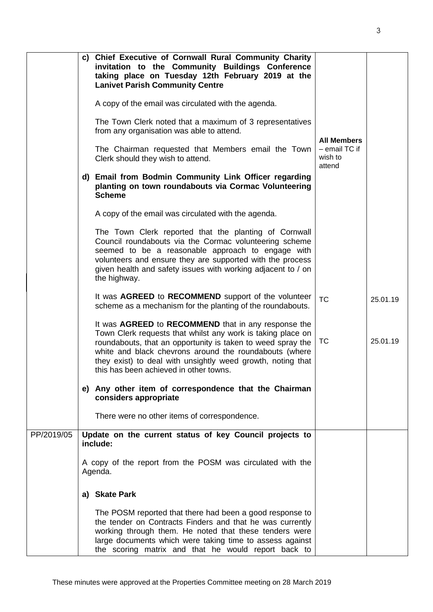|            | c) Chief Executive of Cornwall Rural Community Charity<br>invitation to the Community Buildings Conference<br>taking place on Tuesday 12th February 2019 at the<br><b>Lanivet Parish Community Centre</b>                                                                                                                                            |                                      |          |
|------------|------------------------------------------------------------------------------------------------------------------------------------------------------------------------------------------------------------------------------------------------------------------------------------------------------------------------------------------------------|--------------------------------------|----------|
|            | A copy of the email was circulated with the agenda.                                                                                                                                                                                                                                                                                                  |                                      |          |
|            | The Town Clerk noted that a maximum of 3 representatives<br>from any organisation was able to attend.                                                                                                                                                                                                                                                | <b>All Members</b>                   |          |
|            | The Chairman requested that Members email the Town<br>Clerk should they wish to attend.                                                                                                                                                                                                                                                              | $-$ email TC if<br>wish to<br>attend |          |
|            | d) Email from Bodmin Community Link Officer regarding<br>planting on town roundabouts via Cormac Volunteering<br><b>Scheme</b>                                                                                                                                                                                                                       |                                      |          |
|            | A copy of the email was circulated with the agenda.                                                                                                                                                                                                                                                                                                  |                                      |          |
|            | The Town Clerk reported that the planting of Cornwall<br>Council roundabouts via the Cormac volunteering scheme<br>seemed to be a reasonable approach to engage with<br>volunteers and ensure they are supported with the process<br>given health and safety issues with working adjacent to / on<br>the highway.                                    |                                      |          |
|            | It was AGREED to RECOMMEND support of the volunteer<br>scheme as a mechanism for the planting of the roundabouts.                                                                                                                                                                                                                                    | <b>TC</b>                            | 25.01.19 |
|            | It was AGREED to RECOMMEND that in any response the<br>Town Clerk requests that whilst any work is taking place on<br>roundabouts, that an opportunity is taken to weed spray the<br>white and black chevrons around the roundabouts (where<br>they exist) to deal with unsightly weed growth, noting that<br>this has been achieved in other towns. | TC                                   | 25.01.19 |
|            | e) Any other item of correspondence that the Chairman<br>considers appropriate                                                                                                                                                                                                                                                                       |                                      |          |
|            | There were no other items of correspondence.                                                                                                                                                                                                                                                                                                         |                                      |          |
| PP/2019/05 | Update on the current status of key Council projects to<br>include:                                                                                                                                                                                                                                                                                  |                                      |          |
|            | A copy of the report from the POSM was circulated with the<br>Agenda.                                                                                                                                                                                                                                                                                |                                      |          |
|            | a) Skate Park                                                                                                                                                                                                                                                                                                                                        |                                      |          |
|            | The POSM reported that there had been a good response to<br>the tender on Contracts Finders and that he was currently<br>working through them. He noted that these tenders were<br>large documents which were taking time to assess against<br>the scoring matrix and that he would report back to                                                   |                                      |          |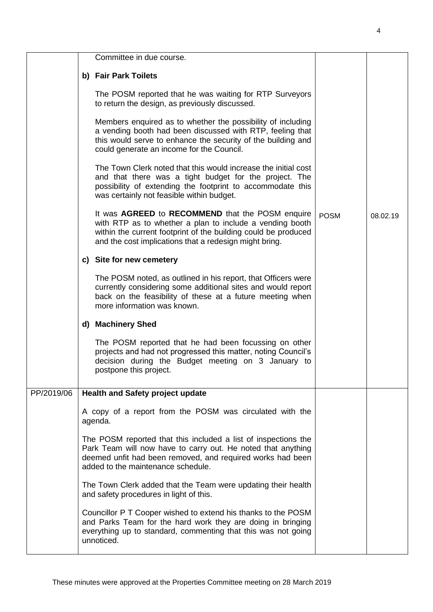|            | Committee in due course.                                                                                                                                                                                                                 |             |          |
|------------|------------------------------------------------------------------------------------------------------------------------------------------------------------------------------------------------------------------------------------------|-------------|----------|
|            | b) Fair Park Toilets                                                                                                                                                                                                                     |             |          |
|            | The POSM reported that he was waiting for RTP Surveyors<br>to return the design, as previously discussed.                                                                                                                                |             |          |
|            | Members enquired as to whether the possibility of including<br>a vending booth had been discussed with RTP, feeling that<br>this would serve to enhance the security of the building and<br>could generate an income for the Council.    |             |          |
|            | The Town Clerk noted that this would increase the initial cost<br>and that there was a tight budget for the project. The<br>possibility of extending the footprint to accommodate this<br>was certainly not feasible within budget.      |             |          |
|            | It was AGREED to RECOMMEND that the POSM enquire<br>with RTP as to whether a plan to include a vending booth<br>within the current footprint of the building could be produced<br>and the cost implications that a redesign might bring. | <b>POSM</b> | 08.02.19 |
|            | c) Site for new cemetery                                                                                                                                                                                                                 |             |          |
|            | The POSM noted, as outlined in his report, that Officers were<br>currently considering some additional sites and would report<br>back on the feasibility of these at a future meeting when<br>more information was known.                |             |          |
|            | d) Machinery Shed                                                                                                                                                                                                                        |             |          |
|            | The POSM reported that he had been focussing on other<br>projects and had not progressed this matter, noting Council's<br>decision during the Budget meeting on 3 January to<br>postpone this project.                                   |             |          |
| PP/2019/06 | <b>Health and Safety project update</b>                                                                                                                                                                                                  |             |          |
|            | A copy of a report from the POSM was circulated with the<br>agenda.                                                                                                                                                                      |             |          |
|            | The POSM reported that this included a list of inspections the<br>Park Team will now have to carry out. He noted that anything<br>deemed unfit had been removed, and required works had been<br>added to the maintenance schedule.       |             |          |
|            | The Town Clerk added that the Team were updating their health<br>and safety procedures in light of this.                                                                                                                                 |             |          |
|            | Councillor P T Cooper wished to extend his thanks to the POSM<br>and Parks Team for the hard work they are doing in bringing<br>everything up to standard, commenting that this was not going<br>unnoticed.                              |             |          |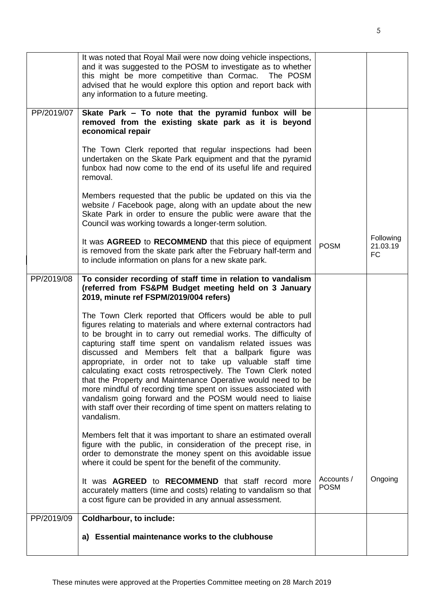|            | It was noted that Royal Mail were now doing vehicle inspections,<br>and it was suggested to the POSM to investigate as to whether<br>this might be more competitive than Cormac. The POSM<br>advised that he would explore this option and report back with<br>any information to a future meeting.                                                                                                                                                                                                                                                                                                                                                                                                                                         |                           |                             |
|------------|---------------------------------------------------------------------------------------------------------------------------------------------------------------------------------------------------------------------------------------------------------------------------------------------------------------------------------------------------------------------------------------------------------------------------------------------------------------------------------------------------------------------------------------------------------------------------------------------------------------------------------------------------------------------------------------------------------------------------------------------|---------------------------|-----------------------------|
| PP/2019/07 | Skate Park – To note that the pyramid funbox will be<br>removed from the existing skate park as it is beyond<br>economical repair                                                                                                                                                                                                                                                                                                                                                                                                                                                                                                                                                                                                           |                           |                             |
|            | The Town Clerk reported that regular inspections had been<br>undertaken on the Skate Park equipment and that the pyramid<br>funbox had now come to the end of its useful life and required<br>removal.                                                                                                                                                                                                                                                                                                                                                                                                                                                                                                                                      |                           |                             |
|            | Members requested that the public be updated on this via the<br>website / Facebook page, along with an update about the new<br>Skate Park in order to ensure the public were aware that the<br>Council was working towards a longer-term solution.                                                                                                                                                                                                                                                                                                                                                                                                                                                                                          |                           |                             |
|            | It was AGREED to RECOMMEND that this piece of equipment<br>is removed from the skate park after the February half-term and<br>to include information on plans for a new skate park.                                                                                                                                                                                                                                                                                                                                                                                                                                                                                                                                                         | <b>POSM</b>               | Following<br>21.03.19<br>FC |
| PP/2019/08 | To consider recording of staff time in relation to vandalism<br>(referred from FS&PM Budget meeting held on 3 January<br>2019, minute ref FSPM/2019/004 refers)                                                                                                                                                                                                                                                                                                                                                                                                                                                                                                                                                                             |                           |                             |
|            | The Town Clerk reported that Officers would be able to pull<br>figures relating to materials and where external contractors had<br>to be brought in to carry out remedial works. The difficulty of<br>capturing staff time spent on vandalism related issues was<br>discussed and Members felt that a ballpark figure was<br>appropriate, in order not to take up valuable staff time<br>calculating exact costs retrospectively. The Town Clerk noted<br>that the Property and Maintenance Operative would need to be<br>more mindful of recording time spent on issues associated with<br>vandalism going forward and the POSM would need to liaise<br>with staff over their recording of time spent on matters relating to<br>vandalism. |                           |                             |
|            | Members felt that it was important to share an estimated overall<br>figure with the public, in consideration of the precept rise, in<br>order to demonstrate the money spent on this avoidable issue<br>where it could be spent for the benefit of the community.                                                                                                                                                                                                                                                                                                                                                                                                                                                                           |                           |                             |
|            | It was <b>AGREED</b> to <b>RECOMMEND</b> that staff record more<br>accurately matters (time and costs) relating to vandalism so that<br>a cost figure can be provided in any annual assessment.                                                                                                                                                                                                                                                                                                                                                                                                                                                                                                                                             | Accounts /<br><b>POSM</b> | Ongoing                     |
| PP/2019/09 | Coldharbour, to include:                                                                                                                                                                                                                                                                                                                                                                                                                                                                                                                                                                                                                                                                                                                    |                           |                             |
|            | a) Essential maintenance works to the clubhouse                                                                                                                                                                                                                                                                                                                                                                                                                                                                                                                                                                                                                                                                                             |                           |                             |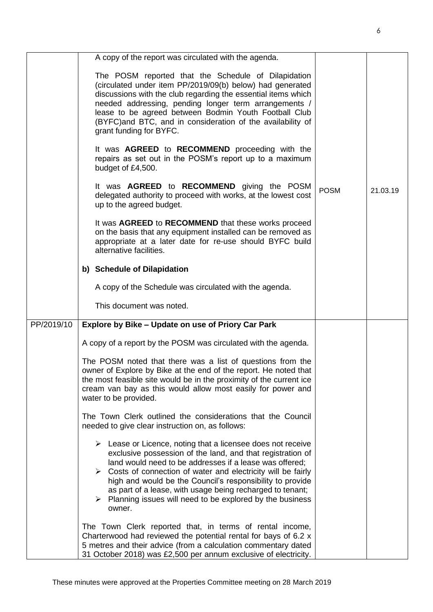|            | A copy of the report was circulated with the agenda.                                                                                                                                                                                                                                                                                                                                                                                                                                                 |             |          |
|------------|------------------------------------------------------------------------------------------------------------------------------------------------------------------------------------------------------------------------------------------------------------------------------------------------------------------------------------------------------------------------------------------------------------------------------------------------------------------------------------------------------|-------------|----------|
|            | The POSM reported that the Schedule of Dilapidation<br>(circulated under item PP/2019/09(b) below) had generated<br>discussions with the club regarding the essential items which<br>needed addressing, pending longer term arrangements /<br>lease to be agreed between Bodmin Youth Football Club<br>(BYFC) and BTC, and in consideration of the availability of<br>grant funding for BYFC.                                                                                                        |             |          |
|            | It was <b>AGREED</b> to <b>RECOMMEND</b> proceeding with the<br>repairs as set out in the POSM's report up to a maximum<br>budget of £4,500.                                                                                                                                                                                                                                                                                                                                                         |             |          |
|            | It was AGREED to RECOMMEND giving the POSM<br>delegated authority to proceed with works, at the lowest cost<br>up to the agreed budget.                                                                                                                                                                                                                                                                                                                                                              | <b>POSM</b> | 21.03.19 |
|            | It was AGREED to RECOMMEND that these works proceed<br>on the basis that any equipment installed can be removed as<br>appropriate at a later date for re-use should BYFC build<br>alternative facilities.                                                                                                                                                                                                                                                                                            |             |          |
|            | b) Schedule of Dilapidation                                                                                                                                                                                                                                                                                                                                                                                                                                                                          |             |          |
|            | A copy of the Schedule was circulated with the agenda.                                                                                                                                                                                                                                                                                                                                                                                                                                               |             |          |
|            | This document was noted.                                                                                                                                                                                                                                                                                                                                                                                                                                                                             |             |          |
| PP/2019/10 | Explore by Bike - Update on use of Priory Car Park                                                                                                                                                                                                                                                                                                                                                                                                                                                   |             |          |
|            | A copy of a report by the POSM was circulated with the agenda.                                                                                                                                                                                                                                                                                                                                                                                                                                       |             |          |
|            | The POSM noted that there was a list of questions from the<br>owner of Explore by Bike at the end of the report. He noted that<br>the most feasible site would be in the proximity of the current ice<br>cream van bay as this would allow most easily for power and<br>water to be provided.                                                                                                                                                                                                        |             |          |
|            | The Town Clerk outlined the considerations that the Council<br>needed to give clear instruction on, as follows:                                                                                                                                                                                                                                                                                                                                                                                      |             |          |
|            | $\triangleright$ Lease or Licence, noting that a licensee does not receive<br>exclusive possession of the land, and that registration of<br>land would need to be addresses if a lease was offered;<br>$\triangleright$ Costs of connection of water and electricity will be fairly<br>high and would be the Council's responsibility to provide<br>as part of a lease, with usage being recharged to tenant;<br>$\triangleright$ Planning issues will need to be explored by the business<br>owner. |             |          |
|            | The Town Clerk reported that, in terms of rental income,<br>Charterwood had reviewed the potential rental for bays of 6.2 x<br>5 metres and their advice (from a calculation commentary dated<br>31 October 2018) was £2,500 per annum exclusive of electricity.                                                                                                                                                                                                                                     |             |          |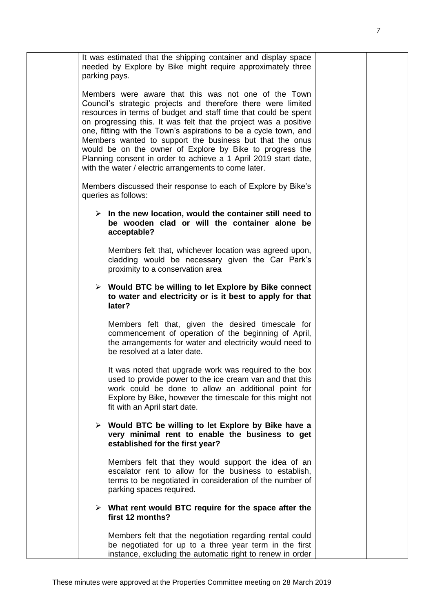|   | It was estimated that the shipping container and display space<br>needed by Explore by Bike might require approximately three<br>parking pays.                                                                                                                                                                                                                                                                                                                                                                                                                                       |  |
|---|--------------------------------------------------------------------------------------------------------------------------------------------------------------------------------------------------------------------------------------------------------------------------------------------------------------------------------------------------------------------------------------------------------------------------------------------------------------------------------------------------------------------------------------------------------------------------------------|--|
|   | Members were aware that this was not one of the Town<br>Council's strategic projects and therefore there were limited<br>resources in terms of budget and staff time that could be spent<br>on progressing this. It was felt that the project was a positive<br>one, fitting with the Town's aspirations to be a cycle town, and<br>Members wanted to support the business but that the onus<br>would be on the owner of Explore by Bike to progress the<br>Planning consent in order to achieve a 1 April 2019 start date,<br>with the water / electric arrangements to come later. |  |
|   | Members discussed their response to each of Explore by Bike's<br>queries as follows:                                                                                                                                                                                                                                                                                                                                                                                                                                                                                                 |  |
|   | $\triangleright$ In the new location, would the container still need to<br>be wooden clad or will the container alone be<br>acceptable?                                                                                                                                                                                                                                                                                                                                                                                                                                              |  |
|   | Members felt that, whichever location was agreed upon,<br>cladding would be necessary given the Car Park's<br>proximity to a conservation area                                                                                                                                                                                                                                                                                                                                                                                                                                       |  |
|   | > Would BTC be willing to let Explore by Bike connect<br>to water and electricity or is it best to apply for that<br>later?                                                                                                                                                                                                                                                                                                                                                                                                                                                          |  |
|   | Members felt that, given the desired timescale for<br>commencement of operation of the beginning of April,<br>the arrangements for water and electricity would need to<br>be resolved at a later date.                                                                                                                                                                                                                                                                                                                                                                               |  |
|   | It was noted that upgrade work was required to the box<br>used to provide power to the ice cream van and that this<br>work could be done to allow an additional point for<br>Explore by Bike, however the timescale for this might not<br>fit with an April start date.                                                                                                                                                                                                                                                                                                              |  |
| ➤ | Would BTC be willing to let Explore by Bike have a<br>very minimal rent to enable the business to get<br>established for the first year?                                                                                                                                                                                                                                                                                                                                                                                                                                             |  |
|   | Members felt that they would support the idea of an<br>escalator rent to allow for the business to establish,<br>terms to be negotiated in consideration of the number of<br>parking spaces required.                                                                                                                                                                                                                                                                                                                                                                                |  |
|   | $\triangleright$ What rent would BTC require for the space after the<br>first 12 months?                                                                                                                                                                                                                                                                                                                                                                                                                                                                                             |  |
|   | Members felt that the negotiation regarding rental could<br>be negotiated for up to a three year term in the first<br>instance, excluding the automatic right to renew in order                                                                                                                                                                                                                                                                                                                                                                                                      |  |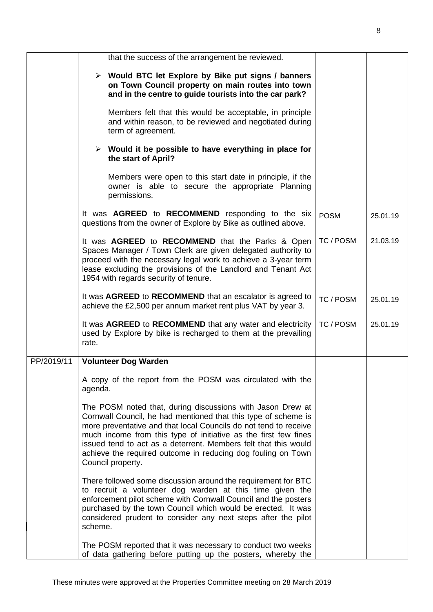|            | that the success of the arrangement be reviewed.                                                                                                                                                                                                                                                                                                                                                                            |             |          |
|------------|-----------------------------------------------------------------------------------------------------------------------------------------------------------------------------------------------------------------------------------------------------------------------------------------------------------------------------------------------------------------------------------------------------------------------------|-------------|----------|
|            | > Would BTC let Explore by Bike put signs / banners<br>on Town Council property on main routes into town<br>and in the centre to guide tourists into the car park?                                                                                                                                                                                                                                                          |             |          |
|            | Members felt that this would be acceptable, in principle<br>and within reason, to be reviewed and negotiated during<br>term of agreement.                                                                                                                                                                                                                                                                                   |             |          |
|            | $\triangleright$ Would it be possible to have everything in place for<br>the start of April?                                                                                                                                                                                                                                                                                                                                |             |          |
|            | Members were open to this start date in principle, if the<br>owner is able to secure the appropriate Planning<br>permissions.                                                                                                                                                                                                                                                                                               |             |          |
|            | It was AGREED to RECOMMEND responding to the six<br>questions from the owner of Explore by Bike as outlined above.                                                                                                                                                                                                                                                                                                          | <b>POSM</b> | 25.01.19 |
|            | It was <b>AGREED</b> to <b>RECOMMEND</b> that the Parks & Open<br>Spaces Manager / Town Clerk are given delegated authority to<br>proceed with the necessary legal work to achieve a 3-year term<br>lease excluding the provisions of the Landlord and Tenant Act<br>1954 with regards security of tenure.                                                                                                                  | TC / POSM   | 21.03.19 |
|            | It was AGREED to RECOMMEND that an escalator is agreed to<br>achieve the £2,500 per annum market rent plus VAT by year 3.                                                                                                                                                                                                                                                                                                   | TC / POSM   | 25.01.19 |
|            | It was AGREED to RECOMMEND that any water and electricity<br>used by Explore by bike is recharged to them at the prevailing<br>rate.                                                                                                                                                                                                                                                                                        | TC / POSM   | 25.01.19 |
| PP/2019/11 | <b>Volunteer Dog Warden</b>                                                                                                                                                                                                                                                                                                                                                                                                 |             |          |
|            | A copy of the report from the POSM was circulated with the<br>agenda.                                                                                                                                                                                                                                                                                                                                                       |             |          |
|            | The POSM noted that, during discussions with Jason Drew at<br>Cornwall Council, he had mentioned that this type of scheme is<br>more preventative and that local Councils do not tend to receive<br>much income from this type of initiative as the first few fines<br>issued tend to act as a deterrent. Members felt that this would<br>achieve the required outcome in reducing dog fouling on Town<br>Council property. |             |          |
|            | There followed some discussion around the requirement for BTC<br>to recruit a volunteer dog warden at this time given the<br>enforcement pilot scheme with Cornwall Council and the posters<br>purchased by the town Council which would be erected. It was<br>considered prudent to consider any next steps after the pilot<br>scheme.                                                                                     |             |          |
|            | The POSM reported that it was necessary to conduct two weeks<br>of data gathering before putting up the posters, whereby the                                                                                                                                                                                                                                                                                                |             |          |